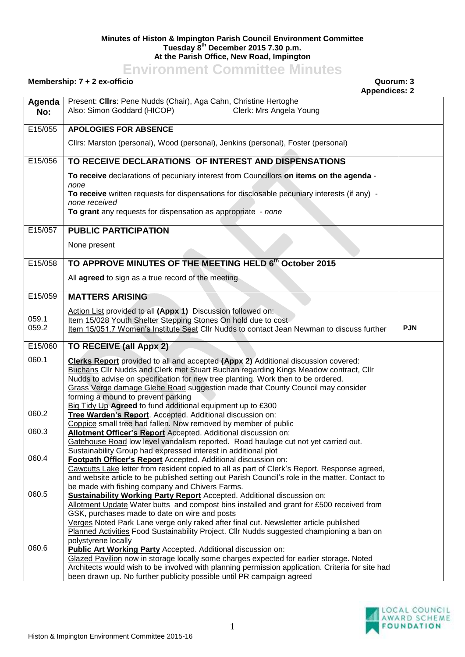## **Minutes of Histon & Impington Parish Council Environment Committee Tuesday 8th December 2015 7.30 p.m. At the Parish Office, New Road, Impington**

## **Environment Committee Minutes**

## **Membership: 7 + 2 ex-officio Quorum: 3**

## **Appendices: 2**

|               | Appendices. Z                                                                                                                                                                               |            |
|---------------|---------------------------------------------------------------------------------------------------------------------------------------------------------------------------------------------|------------|
| Agenda<br>No: | Present: Clirs: Pene Nudds (Chair), Aga Cahn, Christine Hertoghe<br>Also: Simon Goddard (HICOP)<br>Clerk: Mrs Angela Young                                                                  |            |
| E15/055       | <b>APOLOGIES FOR ABSENCE</b>                                                                                                                                                                |            |
|               | Cllrs: Marston (personal), Wood (personal), Jenkins (personal), Foster (personal)                                                                                                           |            |
| E15/056       | TO RECEIVE DECLARATIONS OF INTEREST AND DISPENSATIONS                                                                                                                                       |            |
|               | To receive declarations of pecuniary interest from Councillors on items on the agenda -                                                                                                     |            |
|               | none                                                                                                                                                                                        |            |
|               | To receive written requests for dispensations for disclosable pecuniary interests (if any) -<br>none received                                                                               |            |
|               | To grant any requests for dispensation as appropriate - none                                                                                                                                |            |
|               |                                                                                                                                                                                             |            |
| E15/057       | <b>PUBLIC PARTICIPATION</b>                                                                                                                                                                 |            |
|               | None present                                                                                                                                                                                |            |
|               |                                                                                                                                                                                             |            |
| E15/058       | TO APPROVE MINUTES OF THE MEETING HELD 6th October 2015                                                                                                                                     |            |
|               | All agreed to sign as a true record of the meeting                                                                                                                                          |            |
| E15/059       | <b>MATTERS ARISING</b>                                                                                                                                                                      |            |
|               |                                                                                                                                                                                             |            |
| 059.1         | Action List provided to all (Appx 1) Discussion followed on:                                                                                                                                |            |
| 059.2         | Item 15/028 Youth Shelter Stepping Stones On hold due to cost<br>Item 15/051.7 Women's Institute Seat Cllr Nudds to contact Jean Newman to discuss further                                  | <b>PJN</b> |
|               |                                                                                                                                                                                             |            |
|               |                                                                                                                                                                                             |            |
| E15/060       | TO RECEIVE (all Appx 2)                                                                                                                                                                     |            |
| 060.1         | Clerks Report provided to all and accepted (Appx 2) Additional discussion covered:                                                                                                          |            |
|               | Buchans Cllr Nudds and Clerk met Stuart Buchan regarding Kings Meadow contract, Cllr                                                                                                        |            |
|               | Nudds to advise on specification for new tree planting. Work then to be ordered.                                                                                                            |            |
|               | Grass Verge damage Glebe Road suggestion made that County Council may consider                                                                                                              |            |
|               | forming a mound to prevent parking<br>Big Tidy Up Agreed to fund additional equipment up to £300                                                                                            |            |
| 060.2         | Tree Warden's Report. Accepted. Additional discussion on:                                                                                                                                   |            |
|               | Coppice small tree had fallen. Now removed by member of public                                                                                                                              |            |
| 060.3         | Allotment Officer's Report Accepted. Additional discussion on:<br>Gatehouse Road low level vandalism reported. Road haulage cut not yet carried out.                                        |            |
|               | Sustainability Group had expressed interest in additional plot                                                                                                                              |            |
| 060.4         | Footpath Officer's Report Accepted. Additional discussion on:                                                                                                                               |            |
|               | Cawcutts Lake letter from resident copied to all as part of Clerk's Report. Response agreed,                                                                                                |            |
|               | and website article to be published setting out Parish Council's role in the matter. Contact to<br>be made with fishing company and Chivers Farms.                                          |            |
| 060.5         | <b>Sustainability Working Party Report</b> Accepted. Additional discussion on:                                                                                                              |            |
|               | Allotment Update Water butts and compost bins installed and grant for £500 received from                                                                                                    |            |
|               | GSK, purchases made to date on wire and posts                                                                                                                                               |            |
|               | Verges Noted Park Lane verge only raked after final cut. Newsletter article published<br>Planned Activities Food Sustainability Project. Cllr Nudds suggested championing a ban on          |            |
|               | polystyrene locally                                                                                                                                                                         |            |
| 060.6         | <b>Public Art Working Party Accepted. Additional discussion on:</b>                                                                                                                         |            |
|               | Glazed Pavilion now in storage locally some charges expected for earlier storage. Noted<br>Architects would wish to be involved with planning permission application. Criteria for site had |            |

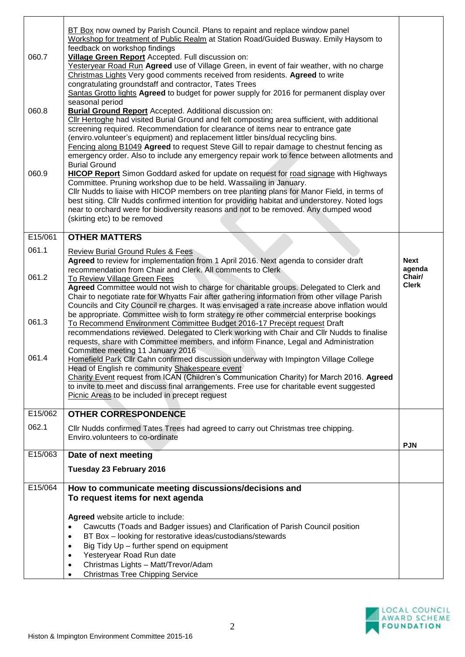|         | BT Box now owned by Parish Council. Plans to repaint and replace window panel<br>Workshop for treatment of Public Realm at Station Road/Guided Busway. Emily Haysom to<br>feedback on workshop findings                                                                              |                       |
|---------|--------------------------------------------------------------------------------------------------------------------------------------------------------------------------------------------------------------------------------------------------------------------------------------|-----------------------|
| 060.7   | Village Green Report Accepted. Full discussion on:<br>Yesteryear Road Run Agreed use of Village Green, in event of fair weather, with no charge                                                                                                                                      |                       |
|         | Christmas Lights Very good comments received from residents. Agreed to write<br>congratulating groundstaff and contractor, Tates Trees                                                                                                                                               |                       |
|         | Santas Grotto lights Agreed to budget for power supply for 2016 for permanent display over<br>seasonal period                                                                                                                                                                        |                       |
| 060.8   | Burial Ground Report Accepted. Additional discussion on:<br>Cllr Hertoghe had visited Burial Ground and felt composting area sufficient, with additional                                                                                                                             |                       |
|         | screening required. Recommendation for clearance of items near to entrance gate<br>(enviro.volunteer's equipment) and replacement littler bins/dual recycling bins.                                                                                                                  |                       |
|         | Fencing along B1049 Agreed to request Steve Gill to repair damage to chestnut fencing as<br>emergency order. Also to include any emergency repair work to fence between allotments and                                                                                               |                       |
| 060.9   | <b>Burial Ground</b>                                                                                                                                                                                                                                                                 |                       |
|         | HICOP Report Simon Goddard asked for update on request for road signage with Highways<br>Committee. Pruning workshop due to be held. Wassailing in January.                                                                                                                          |                       |
|         | CIIr Nudds to liaise with HICOP members on tree planting plans for Manor Field, in terms of<br>best siting. Cllr Nudds confirmed intention for providing habitat and understorey. Noted logs<br>near to orchard were for biodiversity reasons and not to be removed. Any dumped wood |                       |
|         | (skirting etc) to be removed                                                                                                                                                                                                                                                         |                       |
| E15/061 | <b>OTHER MATTERS</b>                                                                                                                                                                                                                                                                 |                       |
| 061.1   | <b>Review Burial Ground Rules &amp; Fees</b>                                                                                                                                                                                                                                         |                       |
|         | Agreed to review for implementation from 1 April 2016. Next agenda to consider draft<br>recommendation from Chair and Clerk. All comments to Clerk                                                                                                                                   | <b>Next</b><br>agenda |
| 061.2   | To Review Village Green Fees<br>Agreed Committee would not wish to charge for charitable groups. Delegated to Clerk and                                                                                                                                                              | Chair/<br>Clerk       |
|         | Chair to negotiate rate for Whyatts Fair after gathering information from other village Parish<br>Councils and City Council re charges. It was envisaged a rate increase above inflation would                                                                                       |                       |
| 061.3   | be appropriate. Committee wish to form strategy re other commercial enterprise bookings<br>To Recommend Environment Committee Budget 2016-17 Precept request Draft                                                                                                                   |                       |
|         | recommendations reviewed. Delegated to Clerk working with Chair and Cllr Nudds to finalise<br>requests, share with Committee members, and inform Finance, Legal and Administration                                                                                                   |                       |
| 061.4   | Committee meeting 11 January 2016                                                                                                                                                                                                                                                    |                       |
|         | Homefield Park Cllr Cahn confirmed discussion underway with Impington Village College<br>Head of English re community Shakespeare event                                                                                                                                              |                       |
|         | Charity Event request from ICAN (Children's Communication Charity) for March 2016. Agreed<br>to invite to meet and discuss final arrangements. Free use for charitable event suggested                                                                                               |                       |
|         | Picnic Areas to be included in precept request                                                                                                                                                                                                                                       |                       |
| E15/062 | <b>OTHER CORRESPONDENCE</b>                                                                                                                                                                                                                                                          |                       |
| 062.1   | CIIr Nudds confirmed Tates Trees had agreed to carry out Christmas tree chipping.<br>Enviro.volunteers to co-ordinate                                                                                                                                                                |                       |
| E15/063 | Date of next meeting                                                                                                                                                                                                                                                                 | <b>PJN</b>            |
|         | Tuesday 23 February 2016                                                                                                                                                                                                                                                             |                       |
| E15/064 | How to communicate meeting discussions/decisions and                                                                                                                                                                                                                                 |                       |
|         | To request items for next agenda                                                                                                                                                                                                                                                     |                       |
|         | Agreed website article to include:                                                                                                                                                                                                                                                   |                       |
|         | Cawcutts (Toads and Badger issues) and Clarification of Parish Council position<br>$\bullet$                                                                                                                                                                                         |                       |
|         | BT Box - looking for restorative ideas/custodians/stewards<br>$\bullet$                                                                                                                                                                                                              |                       |
|         | Big Tidy Up - further spend on equipment<br>$\bullet$<br>$\bullet$                                                                                                                                                                                                                   |                       |
|         | Yesteryear Road Run date<br>Christmas Lights - Matt/Trevor/Adam<br>$\bullet$<br><b>Christmas Tree Chipping Service</b><br>$\bullet$                                                                                                                                                  |                       |